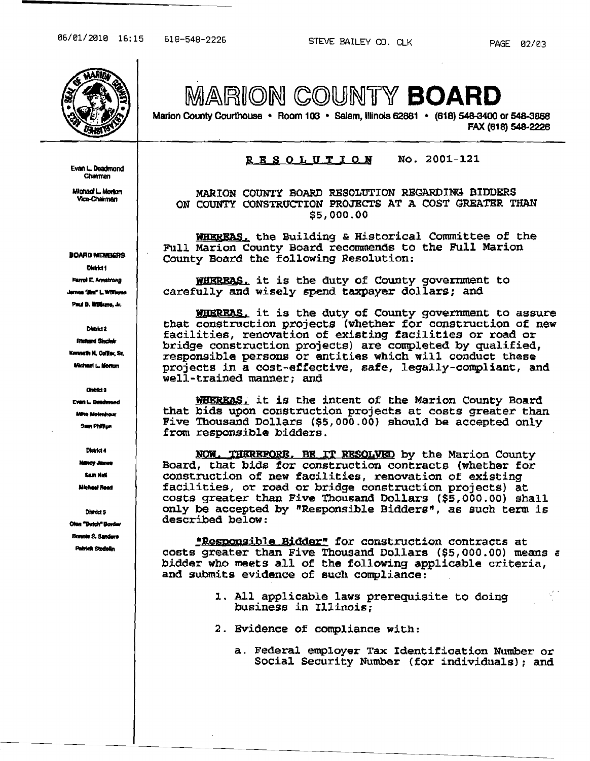Evan L. Deadmond Chairman

Michael L. Morton Vice-Chairman

**BOARD~MEMBLERS** District 1 Farrel E. Annatrong maa "Jim" L. Williams Pauf B. Williams, Jr.

District 2 **Fitchard Sincleir** Kenneth N. Coffier, Sz. **Michael L. Morton** 

**Even L. Desdmond** .<br>Ita Molanhou Sum Phillips

District **8** 

District 4 **Nancy James** 

Sam Net Michael Read

District 5 Olan "Butch" Border Bonnie S. Sanders Pairlex Stedellin

MARION COUNTY BOARD

Marion County Courthouse • Room 103 · Salem, Illinois 62881 · (618) 548-3400 or 548-3868 FAX (618) 548-2226

## $R$  E SOLUTION No. 2001-121

MARION COUNTY BOARD RESOLUTION REGARDING BIDDERS ON COUNTY CONSTRUCTION PROJECTS AT A COST GREATBR THAN \$5,000.00

**WHEREAS**, the Building & Historical Committee of the Full Marion County Board recommends to the Full Marion County Board the following Resolution:

WHERRAS, it is the duty of County government to carefully and wisely spend taxpayer dollars; and

WHERRAS. it is the duty of County government to assure that construction projects (whether for construction of new facilities, renovation of existing facilities or road or bridge construction projects) are completed by qualified, responsible persons or entities which will conduct these projects in a cost-effective, safe, legally-compliant, and well-trained manner; and

WHEREAS. it is the intent of the Marion County Board that bids upon construction projects at costs greater than Five Thousand Dollars (\$5,000.00) should be accepted only from responsible bidders.

NOW. THEREFORE, BE IT RESOLVED by the Marion County Board, that bids for construction contracts (whether for construction of new facilities, renovation Of existing facilities, or road or bridge construction projects) at costs greater than Five Thousand Dollars (\$5,000.00) shall only be accepted by "Responsible Bidders", as such term. *is*  described below:

"Responsible Bidder" for construction contracts at costs greater than Five Thousand Dollars (\$5,000.00) means c bidder who meets all of the following applicable criteria, and submits evidence of such compliance:

- 1. All applicable laws prerequisite to doing business in Illinois;
- 2. Evidence of compliance with:
	- a. Federal employer Tax Identification Number or Social Security Number (for individuals); and